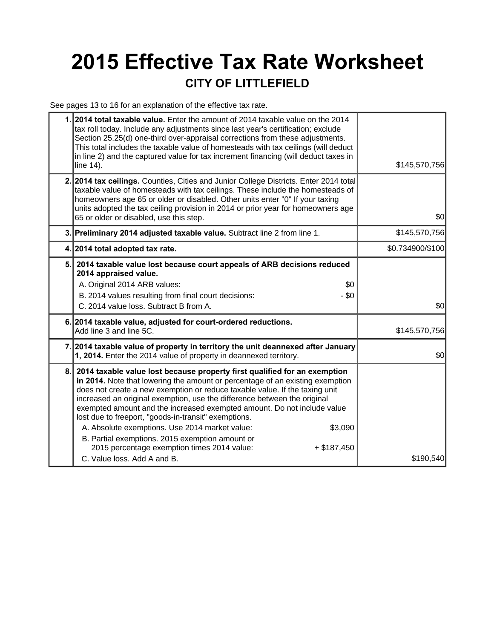## **2015 Effective Tax Rate Worksheet CITY OF LITTLEFIELD**

See pages 13 to 16 for an explanation of the effective tax rate.

|    | 1. 2014 total taxable value. Enter the amount of 2014 taxable value on the 2014<br>tax roll today. Include any adjustments since last year's certification; exclude<br>Section 25.25(d) one-third over-appraisal corrections from these adjustments.<br>This total includes the taxable value of homesteads with tax ceilings (will deduct<br>in line 2) and the captured value for tax increment financing (will deduct taxes in<br>line 14).                                                                                                                                                                                                                          | \$145,570,756    |  |
|----|-------------------------------------------------------------------------------------------------------------------------------------------------------------------------------------------------------------------------------------------------------------------------------------------------------------------------------------------------------------------------------------------------------------------------------------------------------------------------------------------------------------------------------------------------------------------------------------------------------------------------------------------------------------------------|------------------|--|
|    | 2. 2014 tax ceilings. Counties, Cities and Junior College Districts. Enter 2014 total<br>taxable value of homesteads with tax ceilings. These include the homesteads of<br>homeowners age 65 or older or disabled. Other units enter "0" If your taxing<br>units adopted the tax ceiling provision in 2014 or prior year for homeowners age<br>65 or older or disabled, use this step.                                                                                                                                                                                                                                                                                  | \$0              |  |
|    | 3. Preliminary 2014 adjusted taxable value. Subtract line 2 from line 1.                                                                                                                                                                                                                                                                                                                                                                                                                                                                                                                                                                                                | \$145,570,756    |  |
|    | 4. 2014 total adopted tax rate.                                                                                                                                                                                                                                                                                                                                                                                                                                                                                                                                                                                                                                         | \$0.734900/\$100 |  |
| 5. | 2014 taxable value lost because court appeals of ARB decisions reduced<br>2014 appraised value.<br>A. Original 2014 ARB values:<br>\$0<br>B. 2014 values resulting from final court decisions:<br>- \$0<br>C. 2014 value loss. Subtract B from A.                                                                                                                                                                                                                                                                                                                                                                                                                       | \$0              |  |
|    | 6. 2014 taxable value, adjusted for court-ordered reductions.<br>Add line 3 and line 5C.                                                                                                                                                                                                                                                                                                                                                                                                                                                                                                                                                                                | \$145,570,756    |  |
|    | 7. 2014 taxable value of property in territory the unit deannexed after January<br>1, 2014. Enter the 2014 value of property in deannexed territory.                                                                                                                                                                                                                                                                                                                                                                                                                                                                                                                    | \$0              |  |
| 8. | 2014 taxable value lost because property first qualified for an exemption<br>in 2014. Note that lowering the amount or percentage of an existing exemption<br>does not create a new exemption or reduce taxable value. If the taxing unit<br>increased an original exemption, use the difference between the original<br>exempted amount and the increased exempted amount. Do not include value<br>lost due to freeport, "goods-in-transit" exemptions.<br>A. Absolute exemptions. Use 2014 market value:<br>\$3,090<br>B. Partial exemptions. 2015 exemption amount or<br>2015 percentage exemption times 2014 value:<br>$+$ \$187,450<br>C. Value loss. Add A and B. | \$190,540        |  |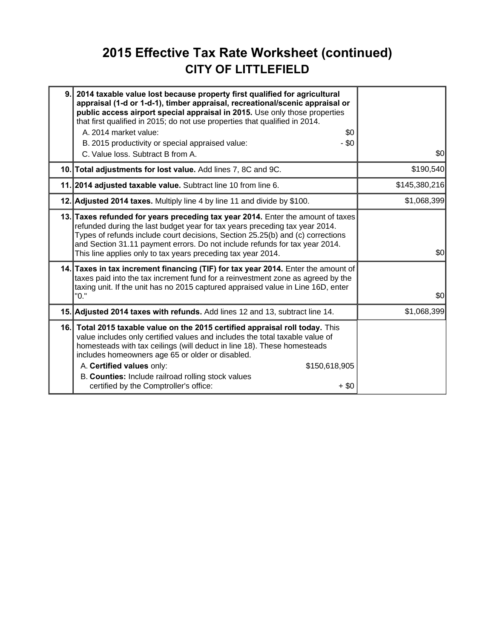### **2015 Effective Tax Rate Worksheet (continued) CITY OF LITTLEFIELD**

| 9.   | 2014 taxable value lost because property first qualified for agricultural<br>appraisal (1-d or 1-d-1), timber appraisal, recreational/scenic appraisal or<br>public access airport special appraisal in 2015. Use only those properties<br>that first qualified in 2015; do not use properties that qualified in 2014.<br>A. 2014 market value:<br>\$0<br>- \$0<br>B. 2015 productivity or special appraised value:<br>C. Value loss. Subtract B from A. | \$0           |
|------|----------------------------------------------------------------------------------------------------------------------------------------------------------------------------------------------------------------------------------------------------------------------------------------------------------------------------------------------------------------------------------------------------------------------------------------------------------|---------------|
|      | 10. Total adjustments for lost value. Add lines 7, 8C and 9C.                                                                                                                                                                                                                                                                                                                                                                                            | \$190,540     |
|      | 11. 2014 adjusted taxable value. Subtract line 10 from line 6.                                                                                                                                                                                                                                                                                                                                                                                           | \$145,380,216 |
|      | 12. Adjusted 2014 taxes. Multiply line 4 by line 11 and divide by \$100.                                                                                                                                                                                                                                                                                                                                                                                 | \$1,068,399   |
|      | 13. Taxes refunded for years preceding tax year 2014. Enter the amount of taxes<br>refunded during the last budget year for tax years preceding tax year 2014.<br>Types of refunds include court decisions, Section 25.25(b) and (c) corrections<br>and Section 31.11 payment errors. Do not include refunds for tax year 2014.<br>This line applies only to tax years preceding tax year 2014.                                                          | \$0           |
|      | 14. Taxes in tax increment financing (TIF) for tax year 2014. Enter the amount of<br>taxes paid into the tax increment fund for a reinvestment zone as agreed by the<br>taxing unit. If the unit has no 2015 captured appraised value in Line 16D, enter<br>"0."                                                                                                                                                                                         | \$0           |
|      | 15. Adjusted 2014 taxes with refunds. Add lines 12 and 13, subtract line 14.                                                                                                                                                                                                                                                                                                                                                                             | \$1,068,399   |
| 16.l | Total 2015 taxable value on the 2015 certified appraisal roll today. This<br>value includes only certified values and includes the total taxable value of<br>homesteads with tax ceilings (will deduct in line 18). These homesteads<br>includes homeowners age 65 or older or disabled.<br>A. Certified values only:<br>\$150,618,905<br>B. Counties: Include railroad rolling stock values<br>certified by the Comptroller's office:<br>$+$ \$0        |               |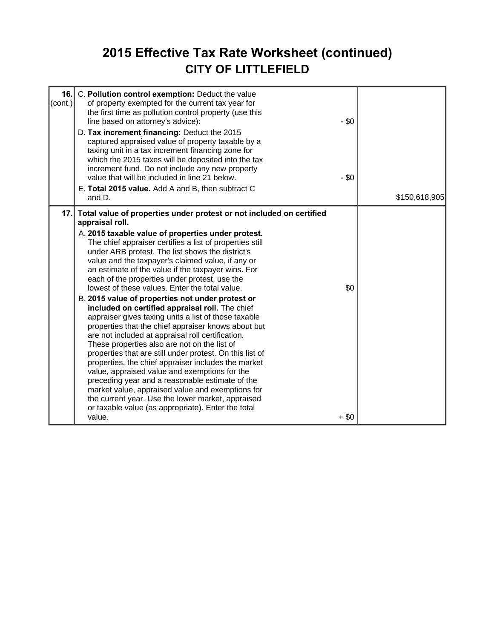### **2015 Effective Tax Rate Worksheet (continued) CITY OF LITTLEFIELD**

| 16.<br>C. Pollution control exemption: Deduct the value<br>$\text{(cont.)}$<br>of property exempted for the current tax year for<br>the first time as pollution control property (use this<br>line based on attorney's advice):<br>D. Tax increment financing: Deduct the 2015<br>captured appraised value of property taxable by a<br>taxing unit in a tax increment financing zone for<br>which the 2015 taxes will be deposited into the tax<br>increment fund. Do not include any new property<br>value that will be included in line 21 below.<br>E. Total 2015 value. Add A and B, then subtract C<br>and D.                                                                                                                                                                                                                                                                                                                                                                                                                                                                                                                                                                                             | $-$ \$0<br>$-$ \$0 | \$150,618,905 |
|----------------------------------------------------------------------------------------------------------------------------------------------------------------------------------------------------------------------------------------------------------------------------------------------------------------------------------------------------------------------------------------------------------------------------------------------------------------------------------------------------------------------------------------------------------------------------------------------------------------------------------------------------------------------------------------------------------------------------------------------------------------------------------------------------------------------------------------------------------------------------------------------------------------------------------------------------------------------------------------------------------------------------------------------------------------------------------------------------------------------------------------------------------------------------------------------------------------|--------------------|---------------|
| Total value of properties under protest or not included on certified<br>17.1<br>appraisal roll.<br>A. 2015 taxable value of properties under protest.<br>The chief appraiser certifies a list of properties still<br>under ARB protest. The list shows the district's<br>value and the taxpayer's claimed value, if any or<br>an estimate of the value if the taxpayer wins. For<br>each of the properties under protest, use the<br>lowest of these values. Enter the total value.<br>B. 2015 value of properties not under protest or<br>included on certified appraisal roll. The chief<br>appraiser gives taxing units a list of those taxable<br>properties that the chief appraiser knows about but<br>are not included at appraisal roll certification.<br>These properties also are not on the list of<br>properties that are still under protest. On this list of<br>properties, the chief appraiser includes the market<br>value, appraised value and exemptions for the<br>preceding year and a reasonable estimate of the<br>market value, appraised value and exemptions for<br>the current year. Use the lower market, appraised<br>or taxable value (as appropriate). Enter the total<br>value. | \$0<br>$+$ \$0     |               |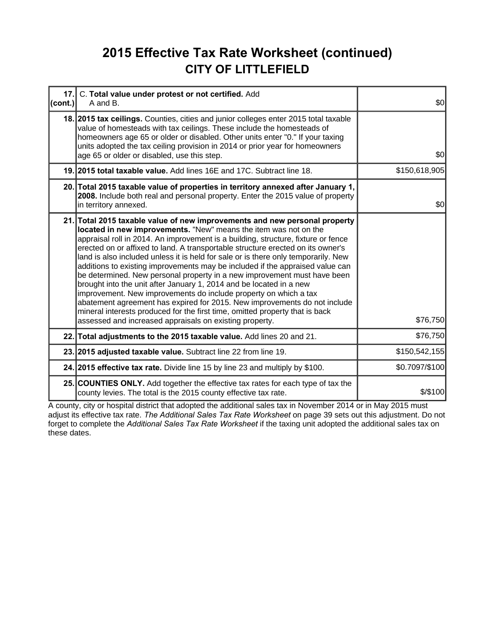### **2015 Effective Tax Rate Worksheet (continued) CITY OF LITTLEFIELD**

| 17.<br>(cont.) | C. Total value under protest or not certified. Add<br>A and B.                                                                                                                                                                                                                                                                                                                                                                                                                                                                                                                                                                                                                                                                                                                                                                                                                                                                               | \$0            |
|----------------|----------------------------------------------------------------------------------------------------------------------------------------------------------------------------------------------------------------------------------------------------------------------------------------------------------------------------------------------------------------------------------------------------------------------------------------------------------------------------------------------------------------------------------------------------------------------------------------------------------------------------------------------------------------------------------------------------------------------------------------------------------------------------------------------------------------------------------------------------------------------------------------------------------------------------------------------|----------------|
|                | 18. 2015 tax ceilings. Counties, cities and junior colleges enter 2015 total taxable<br>value of homesteads with tax ceilings. These include the homesteads of<br>homeowners age 65 or older or disabled. Other units enter "0." If your taxing<br>units adopted the tax ceiling provision in 2014 or prior year for homeowners<br>age 65 or older or disabled, use this step.                                                                                                                                                                                                                                                                                                                                                                                                                                                                                                                                                               | \$0            |
|                | 19. 2015 total taxable value. Add lines 16E and 17C. Subtract line 18.                                                                                                                                                                                                                                                                                                                                                                                                                                                                                                                                                                                                                                                                                                                                                                                                                                                                       | \$150,618,905  |
|                | 20. Total 2015 taxable value of properties in territory annexed after January 1,<br>2008. Include both real and personal property. Enter the 2015 value of property<br>in territory annexed.                                                                                                                                                                                                                                                                                                                                                                                                                                                                                                                                                                                                                                                                                                                                                 | \$0            |
|                | 21. Total 2015 taxable value of new improvements and new personal property<br>located in new improvements. "New" means the item was not on the<br>appraisal roll in 2014. An improvement is a building, structure, fixture or fence<br>erected on or affixed to land. A transportable structure erected on its owner's<br>land is also included unless it is held for sale or is there only temporarily. New<br>additions to existing improvements may be included if the appraised value can<br>be determined. New personal property in a new improvement must have been<br>brought into the unit after January 1, 2014 and be located in a new<br>improvement. New improvements do include property on which a tax<br>abatement agreement has expired for 2015. New improvements do not include<br>mineral interests produced for the first time, omitted property that is back<br>assessed and increased appraisals on existing property. | \$76,750       |
|                | 22. Total adjustments to the 2015 taxable value. Add lines 20 and 21.                                                                                                                                                                                                                                                                                                                                                                                                                                                                                                                                                                                                                                                                                                                                                                                                                                                                        | \$76,750       |
|                | 23. 2015 adjusted taxable value. Subtract line 22 from line 19.                                                                                                                                                                                                                                                                                                                                                                                                                                                                                                                                                                                                                                                                                                                                                                                                                                                                              | \$150,542,155  |
|                | 24. 2015 effective tax rate. Divide line 15 by line 23 and multiply by \$100.                                                                                                                                                                                                                                                                                                                                                                                                                                                                                                                                                                                                                                                                                                                                                                                                                                                                | \$0.7097/\$100 |
|                | 25. COUNTIES ONLY. Add together the effective tax rates for each type of tax the<br>county levies. The total is the 2015 county effective tax rate.                                                                                                                                                                                                                                                                                                                                                                                                                                                                                                                                                                                                                                                                                                                                                                                          | $$$ /\$100     |

A county, city or hospital district that adopted the additional sales tax in November 2014 or in May 2015 must adjust its effective tax rate. *The Additional Sales Tax Rate Worksheet* on page 39 sets out this adjustment. Do not forget to complete the *Additional Sales Tax Rate Worksheet* if the taxing unit adopted the additional sales tax on these dates.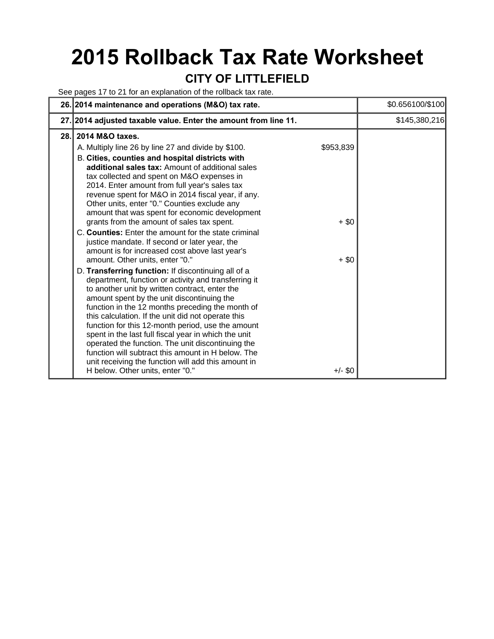# **2015 Rollback Tax Rate Worksheet**

### **CITY OF LITTLEFIELD**

See pages 17 to 21 for an explanation of the rollback tax rate.

| 26. 2014 maintenance and operations (M&O) tax rate.                                                                                                                                                                                                                                                                                                                                                                                                                                                                                                                                                                                                           |                                 | \$0.656100/\$100 |
|---------------------------------------------------------------------------------------------------------------------------------------------------------------------------------------------------------------------------------------------------------------------------------------------------------------------------------------------------------------------------------------------------------------------------------------------------------------------------------------------------------------------------------------------------------------------------------------------------------------------------------------------------------------|---------------------------------|------------------|
| 27. 2014 adjusted taxable value. Enter the amount from line 11.                                                                                                                                                                                                                                                                                                                                                                                                                                                                                                                                                                                               |                                 | \$145,380,216    |
| 2014 M&O taxes.<br>28.1                                                                                                                                                                                                                                                                                                                                                                                                                                                                                                                                                                                                                                       |                                 |                  |
| A. Multiply line 26 by line 27 and divide by \$100.<br>B. Cities, counties and hospital districts with<br>additional sales tax: Amount of additional sales<br>tax collected and spent on M&O expenses in<br>2014. Enter amount from full year's sales tax<br>revenue spent for M&O in 2014 fiscal year, if any.<br>Other units, enter "0." Counties exclude any<br>amount that was spent for economic development<br>grants from the amount of sales tax spent.<br>C. Counties: Enter the amount for the state criminal<br>justice mandate. If second or later year, the<br>amount is for increased cost above last year's<br>amount. Other units, enter "0." | \$953,839<br>$+$ \$0<br>$+$ \$0 |                  |
| D. Transferring function: If discontinuing all of a<br>department, function or activity and transferring it<br>to another unit by written contract, enter the<br>amount spent by the unit discontinuing the<br>function in the 12 months preceding the month of<br>this calculation. If the unit did not operate this<br>function for this 12-month period, use the amount<br>spent in the last full fiscal year in which the unit<br>operated the function. The unit discontinuing the<br>function will subtract this amount in H below. The<br>unit receiving the function will add this amount in<br>H below. Other units, enter "0."                      | $+/-$ \$0                       |                  |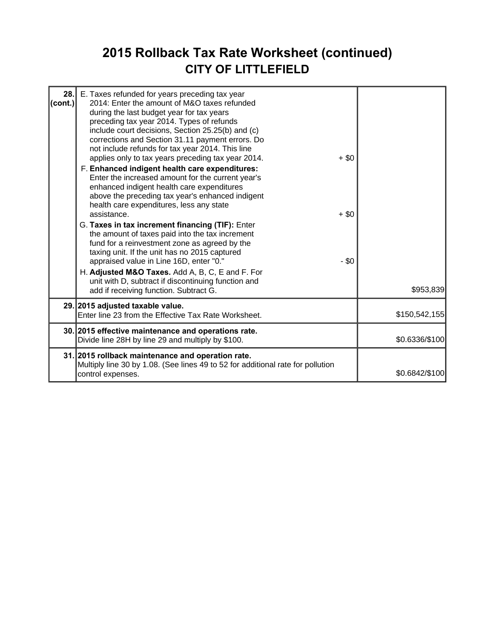### **2015 Rollback Tax Rate Worksheet (continued) CITY OF LITTLEFIELD**

| 28.<br>$\left(\text{cont.}\right)$ | E. Taxes refunded for years preceding tax year<br>2014: Enter the amount of M&O taxes refunded<br>during the last budget year for tax years<br>preceding tax year 2014. Types of refunds<br>include court decisions, Section 25.25(b) and (c)<br>corrections and Section 31.11 payment errors. Do<br>not include refunds for tax year 2014. This line<br>applies only to tax years preceding tax year 2014.<br>F. Enhanced indigent health care expenditures:<br>Enter the increased amount for the current year's<br>enhanced indigent health care expenditures<br>above the preceding tax year's enhanced indigent<br>health care expenditures, less any state<br>assistance.<br>G. Taxes in tax increment financing (TIF): Enter<br>the amount of taxes paid into the tax increment<br>fund for a reinvestment zone as agreed by the<br>taxing unit. If the unit has no 2015 captured<br>appraised value in Line 16D, enter "0."<br>H. Adjusted M&O Taxes. Add A, B, C, E and F. For<br>unit with D, subtract if discontinuing function and<br>add if receiving function. Subtract G. | $+$ \$0<br>$+$ \$0<br>$-$ \$0 | \$953,839      |
|------------------------------------|------------------------------------------------------------------------------------------------------------------------------------------------------------------------------------------------------------------------------------------------------------------------------------------------------------------------------------------------------------------------------------------------------------------------------------------------------------------------------------------------------------------------------------------------------------------------------------------------------------------------------------------------------------------------------------------------------------------------------------------------------------------------------------------------------------------------------------------------------------------------------------------------------------------------------------------------------------------------------------------------------------------------------------------------------------------------------------------|-------------------------------|----------------|
|                                    | 29. 2015 adjusted taxable value.<br>Enter line 23 from the Effective Tax Rate Worksheet.                                                                                                                                                                                                                                                                                                                                                                                                                                                                                                                                                                                                                                                                                                                                                                                                                                                                                                                                                                                                 |                               | \$150,542,155  |
|                                    | 30. 2015 effective maintenance and operations rate.<br>Divide line 28H by line 29 and multiply by \$100.                                                                                                                                                                                                                                                                                                                                                                                                                                                                                                                                                                                                                                                                                                                                                                                                                                                                                                                                                                                 |                               | \$0.6336/\$100 |
|                                    | 31. 2015 rollback maintenance and operation rate.<br>Multiply line 30 by 1.08. (See lines 49 to 52 for additional rate for pollution<br>control expenses.                                                                                                                                                                                                                                                                                                                                                                                                                                                                                                                                                                                                                                                                                                                                                                                                                                                                                                                                |                               | \$0.6842/\$100 |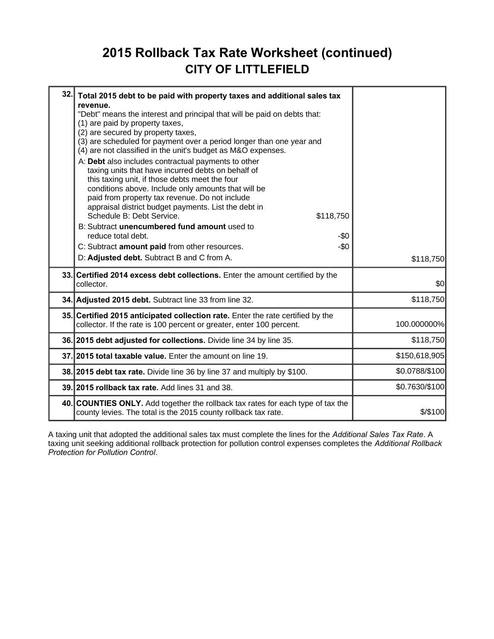### **2015 Rollback Tax Rate Worksheet (continued) CITY OF LITTLEFIELD**

| 32. | Total 2015 debt to be paid with property taxes and additional sales tax<br>revenue.<br>"Debt" means the interest and principal that will be paid on debts that:<br>(1) are paid by property taxes,<br>(2) are secured by property taxes,<br>(3) are scheduled for payment over a period longer than one year and<br>(4) are not classified in the unit's budget as M&O expenses.<br>A: Debt also includes contractual payments to other<br>taxing units that have incurred debts on behalf of<br>this taxing unit, if those debts meet the four<br>conditions above. Include only amounts that will be<br>paid from property tax revenue. Do not include<br>appraisal district budget payments. List the debt in<br>Schedule B: Debt Service.<br>\$118,750<br>B: Subtract unencumbered fund amount used to<br>reduce total debt.<br>-\$0<br>$-50$<br>C: Subtract amount paid from other resources.<br>D: Adjusted debt. Subtract B and C from A. | \$118,750      |  |
|-----|--------------------------------------------------------------------------------------------------------------------------------------------------------------------------------------------------------------------------------------------------------------------------------------------------------------------------------------------------------------------------------------------------------------------------------------------------------------------------------------------------------------------------------------------------------------------------------------------------------------------------------------------------------------------------------------------------------------------------------------------------------------------------------------------------------------------------------------------------------------------------------------------------------------------------------------------------|----------------|--|
|     | 33. Certified 2014 excess debt collections. Enter the amount certified by the<br>collector.                                                                                                                                                                                                                                                                                                                                                                                                                                                                                                                                                                                                                                                                                                                                                                                                                                                      | \$0            |  |
|     | 34. Adjusted 2015 debt. Subtract line 33 from line 32.                                                                                                                                                                                                                                                                                                                                                                                                                                                                                                                                                                                                                                                                                                                                                                                                                                                                                           | \$118,750      |  |
|     | 35. Certified 2015 anticipated collection rate. Enter the rate certified by the<br>collector. If the rate is 100 percent or greater, enter 100 percent.                                                                                                                                                                                                                                                                                                                                                                                                                                                                                                                                                                                                                                                                                                                                                                                          | 100.000000%    |  |
|     | 36. 2015 debt adjusted for collections. Divide line 34 by line 35.                                                                                                                                                                                                                                                                                                                                                                                                                                                                                                                                                                                                                                                                                                                                                                                                                                                                               | \$118,750      |  |
|     | 37. 2015 total taxable value. Enter the amount on line 19.                                                                                                                                                                                                                                                                                                                                                                                                                                                                                                                                                                                                                                                                                                                                                                                                                                                                                       | \$150,618,905  |  |
|     | 38. 2015 debt tax rate. Divide line 36 by line 37 and multiply by \$100.                                                                                                                                                                                                                                                                                                                                                                                                                                                                                                                                                                                                                                                                                                                                                                                                                                                                         | \$0.0788/\$100 |  |
|     | 39. 2015 rollback tax rate. Add lines 31 and 38.                                                                                                                                                                                                                                                                                                                                                                                                                                                                                                                                                                                                                                                                                                                                                                                                                                                                                                 | \$0.7630/\$100 |  |
|     | 40. COUNTIES ONLY. Add together the rollback tax rates for each type of tax the<br>county levies. The total is the 2015 county rollback tax rate.                                                                                                                                                                                                                                                                                                                                                                                                                                                                                                                                                                                                                                                                                                                                                                                                | \$/\$100       |  |

A taxing unit that adopted the additional sales tax must complete the lines for the *Additional Sales Tax Rate*. A taxing unit seeking additional rollback protection for pollution control expenses completes the *Additional Rollback Protection for Pollution Control*.